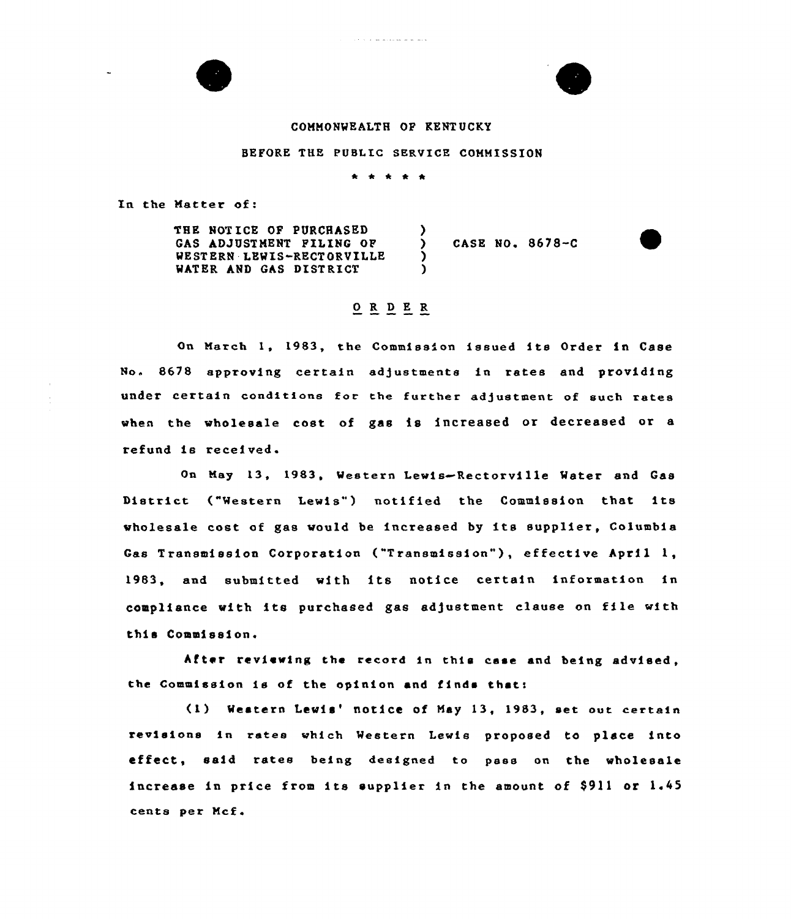

### COMMONWEALTH OP KENT UCKY

E

#### BEFORE THE PUBLIC SERVICE COMMISSION

\* \* \* \*

In the Matter of:

THE NOT ICE OF PURCHASED GAS ADJUSTMENT FILING OF WESTERN LEWIS-RECTORVILLE WATER AND GAS DISTRICT  $\lambda$ ) CASE NO. 8678-C ) )

# 0 R <sup>D</sup> E R

On March 1, 1983, the Commission issued its Order in Case No. 8678 approving certain adjustments in rates and providing under certain conditions for the further adjustment of such rates when the wholesale cost of gas is increased or decreased or a refund is received.

On May 13, 1983, Western Lewis~Rectorville Mater and Gas District ("Western Lewis") notified the Commission that its wholesale cost of gas would be increased by its supplier, Columbia Gas Transmission Corporation ("Transmission"), effective April 1, 1983, and submitted with its notice certain information in compliance with its purchased gas adjustment clause on file with this Commission.

After reviewing the record in this case and being advised, the Commission is of the opinion and finds thats

(1) Western Lewis' notice of May 13, 1983, set out certain revisions in rates which Western Lewis proposed to place into effect, said rates being designed to pass on the wholesale increase in price from its supplier in the amount of  $$911$  or  $1.45$ cents per Mcf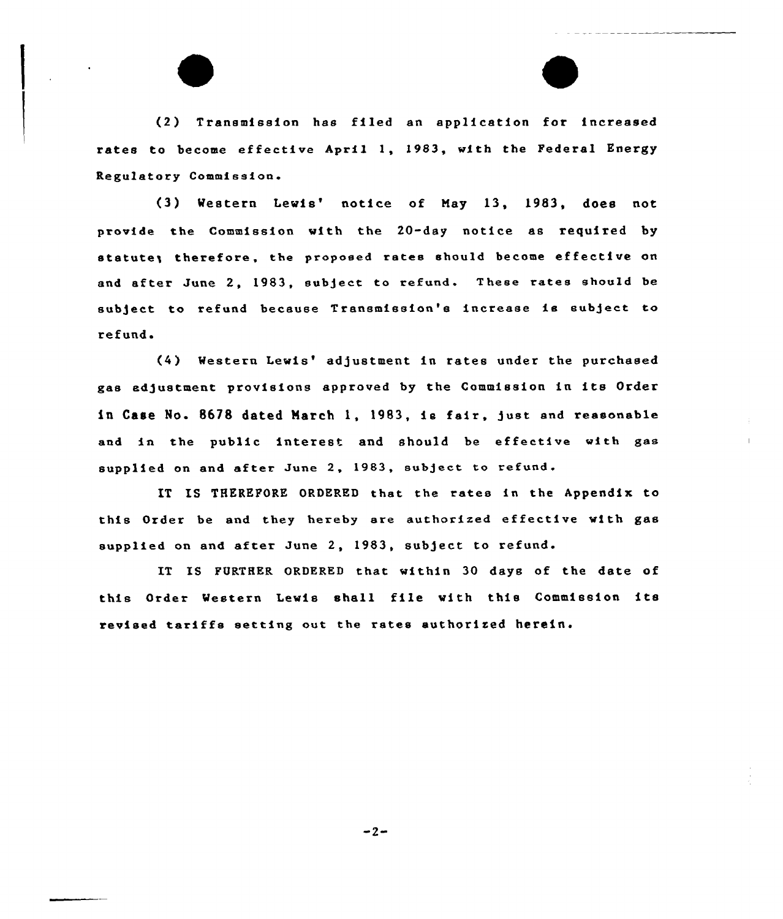{2) Transmission has filed an application for increased rates to become effective April 1, 1983, with the Federal Energy Regulatory Commission.

(3) Western Lewis' notice of May 13, 1983, does not provide the Commission with the 20-day notice as required by statute; therefore, the proposed rates should become effective on and after June 2, 1983, subject to refund. These rates should be subject to refund because Transmission's increase is subject to refund.

(4) Western Lewis' adjustment in rates under the purchased gas ad5ustment provisions approved by the Commission in its Order in Case No. 8678 dated March 1, 1983, is fair, gust snd reasonable and in the public interest and should be effective with gas supplied on and after June 2, 1983, subject to refund.

IT IS THEREFORE ORDERED that the rates in the Appendix to this Order be and they hereby are authorized effective with gas supplied on and after June 2, 1983, subject to refund.

IT IS FURTHER ORDERED that within 30 days of the date of this Order Western Lewis shall file with this Commission its revised tariffs setting out the rates authorized herein.

 $-2-$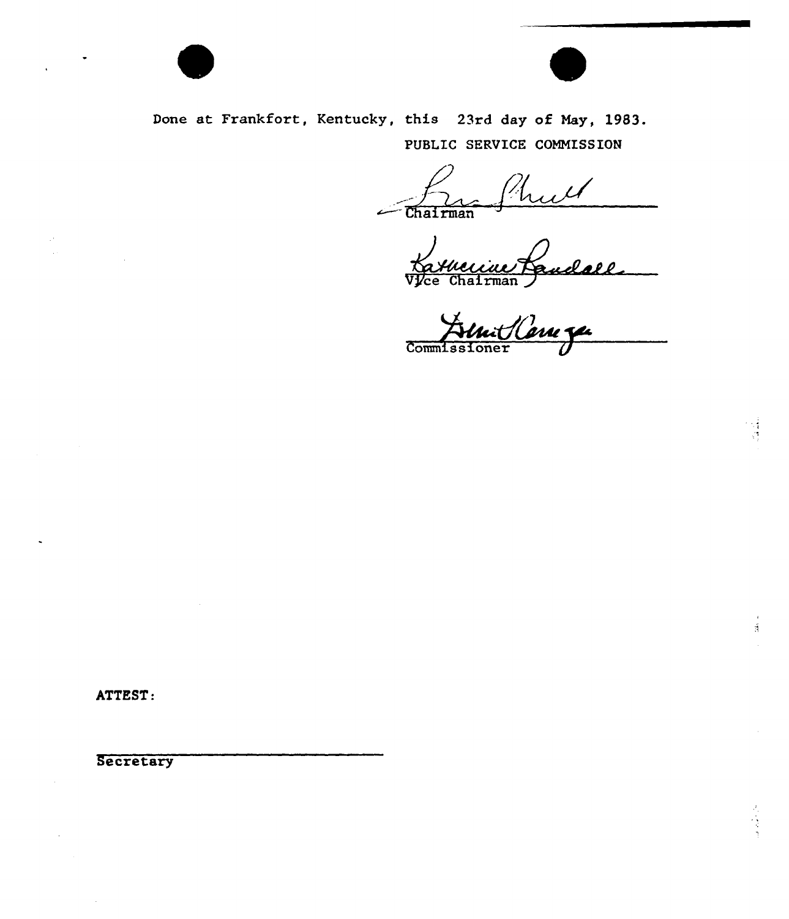

Done at Frankfort, Kentucky, this 23rd day of May, 1983. PUBLIC SERVICE COMMISSION

~ hull Chairman

Vice Chairman Paudalle

Commiss

ATTEST:

**Secretary**